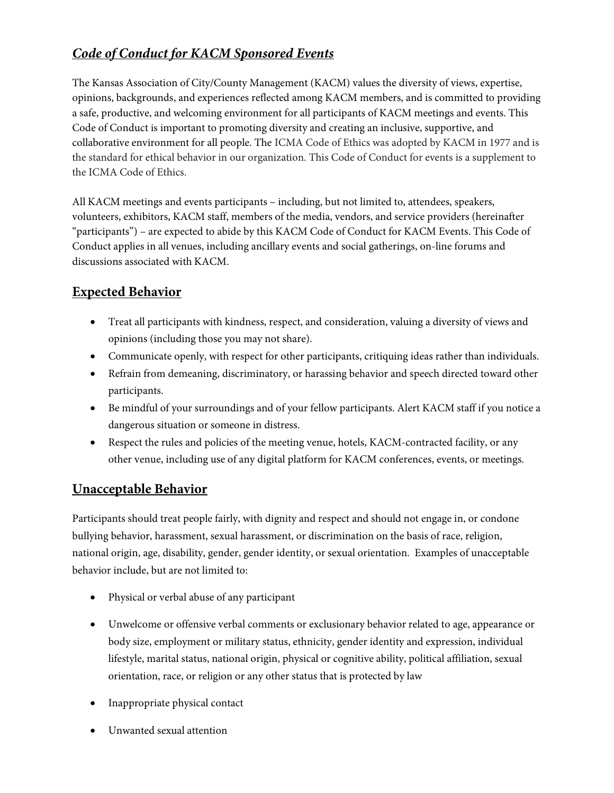# Code of Conduct for KACM Sponsored Events

The Kansas Association of City/County Management (KACM) values the diversity of views, expertise, opinions, backgrounds, and experiences reflected among KACM members, and is committed to providing a safe, productive, and welcoming environment for all participants of KACM meetings and events. This Code of Conduct is important to promoting diversity and creating an inclusive, supportive, and collaborative environment for all people. The ICMA Code of Ethics was adopted by KACM in 1977 and is the standard for ethical behavior in our organization. This Code of Conduct for events is a supplement to the ICMA Code of Ethics.

All KACM meetings and events participants – including, but not limited to, attendees, speakers, volunteers, exhibitors, KACM staff, members of the media, vendors, and service providers (hereinafter "participants") – are expected to abide by this KACM Code of Conduct for KACM Events. This Code of Conduct applies in all venues, including ancillary events and social gatherings, on-line forums and discussions associated with KACM.

## Expected Behavior

- Treat all participants with kindness, respect, and consideration, valuing a diversity of views and opinions (including those you may not share).
- Communicate openly, with respect for other participants, critiquing ideas rather than individuals.
- Refrain from demeaning, discriminatory, or harassing behavior and speech directed toward other participants.
- Be mindful of your surroundings and of your fellow participants. Alert KACM staff if you notice a dangerous situation or someone in distress.
- Respect the rules and policies of the meeting venue, hotels, KACM-contracted facility, or any other venue, including use of any digital platform for KACM conferences, events, or meetings.

## Unacceptable Behavior

Participants should treat people fairly, with dignity and respect and should not engage in, or condone bullying behavior, harassment, sexual harassment, or discrimination on the basis of race, religion, national origin, age, disability, gender, gender identity, or sexual orientation. Examples of unacceptable behavior include, but are not limited to:

- Physical or verbal abuse of any participant
- Unwelcome or offensive verbal comments or exclusionary behavior related to age, appearance or body size, employment or military status, ethnicity, gender identity and expression, individual lifestyle, marital status, national origin, physical or cognitive ability, political affiliation, sexual orientation, race, or religion or any other status that is protected by law
- Inappropriate physical contact
- Unwanted sexual attention